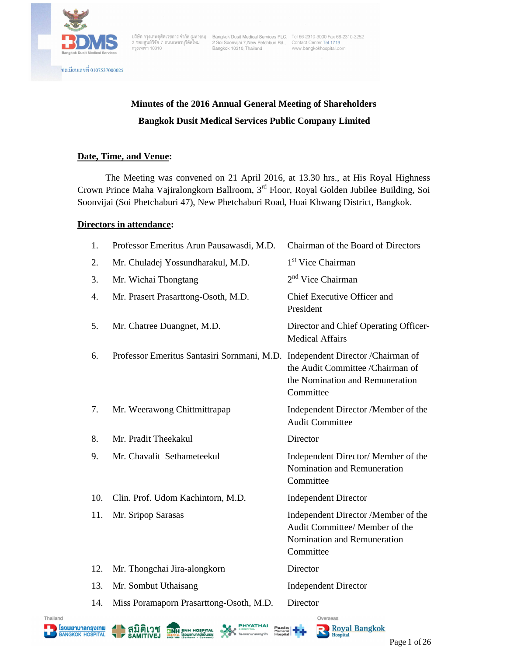

บริษัท กรุงเทพดุสิตเวชการ จำกัด (มหาชน) Bangkok Dusit Medical Services PLC, Tel 66-2310-3000 Fax 66-2310-3252<br>2 ซอยศูนย์วิจัย 7 ถนนเพชรบุรีตัดใหม่ 2 Soi Soonvijai 7,New Petchburi Rd., Contact Center Tel

# **Minutes of the 2016 Annual General Meeting of Shareholders Bangkok Dusit Medical Services Public Company Limited**

## **Date, Time, and Venue:**

The Meeting was convened on 21 April 2016, at 13.30 hrs., at His Royal Highness Crown Prince Maha Vajiralongkorn Ballroom, 3rd Floor, Royal Golden Jubilee Building, Soi Soonvijai (Soi Phetchaburi 47), New Phetchaburi Road, Huai Khwang District, Bangkok.

### **Directors in attendance:**

| 1.  | Professor Emeritus Arun Pausawasdi, M.D.                                       | Chairman of the Board of Directors                                                                                |
|-----|--------------------------------------------------------------------------------|-------------------------------------------------------------------------------------------------------------------|
| 2.  | Mr. Chuladej Yossundharakul, M.D.                                              | 1 <sup>st</sup> Vice Chairman                                                                                     |
| 3.  | Mr. Wichai Thongtang                                                           | $2nd$ Vice Chairman                                                                                               |
| 4.  | Mr. Prasert Prasarttong-Osoth, M.D.                                            | Chief Executive Officer and<br>President                                                                          |
| 5.  | Mr. Chatree Duangnet, M.D.                                                     | Director and Chief Operating Officer-<br><b>Medical Affairs</b>                                                   |
| 6.  | Professor Emeritus Santasiri Sornmani, M.D. Independent Director / Chairman of | the Audit Committee /Chairman of<br>the Nomination and Remuneration<br>Committee                                  |
| 7.  | Mr. Weerawong Chittmittrapap                                                   | Independent Director /Member of the<br><b>Audit Committee</b>                                                     |
| 8.  | Mr. Pradit Theekakul                                                           | Director                                                                                                          |
| 9.  | Mr. Chavalit Sethameteekul                                                     | Independent Director/ Member of the<br>Nomination and Remuneration<br>Committee                                   |
| 10. | Clin. Prof. Udom Kachintorn, M.D.                                              | <b>Independent Director</b>                                                                                       |
| 11. | Mr. Sripop Sarasas                                                             | Independent Director /Member of the<br>Audit Committee/ Member of the<br>Nomination and Remuneration<br>Committee |
| 12. | Mr. Thongchai Jira-alongkorn                                                   | Director                                                                                                          |
| 13. | Mr. Sombut Uthaisang                                                           | <b>Independent Director</b>                                                                                       |
| 14. | Miss Poramaporn Prasarttong-Osoth, M.D.                                        | Director                                                                                                          |
|     |                                                                                |                                                                                                                   |











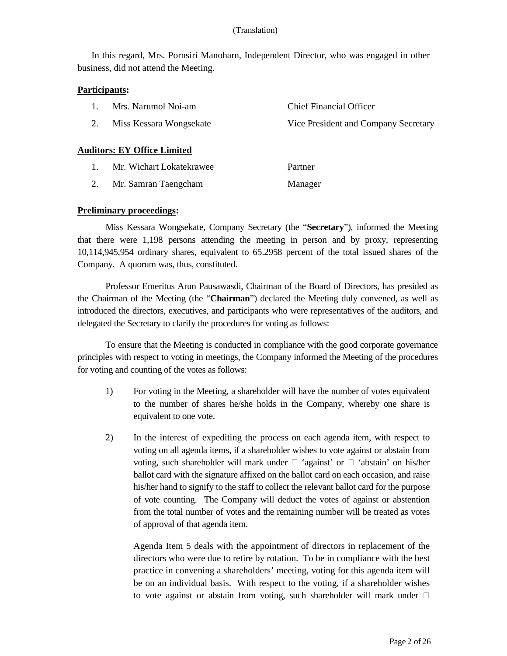In this regard, Mrs. Pornsiri Manoharn, Independent Director, who was engaged in other business, did not attend the Meeting.

### **Participants:**

|    | Mrs. Narumol Noi-am                | <b>Chief Financial Officer</b>       |
|----|------------------------------------|--------------------------------------|
| 2. | Miss Kessara Wongsekate            | Vice President and Company Secretary |
|    | <b>Auditors: EY Office Limited</b> |                                      |
|    | Mr. Wichart Lokatekrawee           | Partner                              |

# 2. Mr. Samran Taengcham Manager

### **Preliminary proceedings:**

Miss Kessara Wongsekate, Company Secretary (the "**Secretary**"), informed the Meeting that there were 1,198 persons attending the meeting in person and by proxy, representing 10,114,945,954 ordinary shares, equivalent to 65.2958 percent of the total issued shares of the Company. A quorum was, thus, constituted.

Professor Emeritus Arun Pausawasdi, Chairman of the Board of Directors, has presided as the Chairman of the Meeting (the "**Chairman**") declared the Meeting duly convened, as well as introduced the directors, executives, and participants who were representatives of the auditors, and delegated the Secretary to clarify the procedures for voting as follows:

To ensure that the Meeting is conducted in compliance with the good corporate governance principles with respect to voting in meetings, the Company informed the Meeting of the procedures for voting and counting of the votes as follows:

- 1) For voting in the Meeting, a shareholder will have the number of votes equivalent to the number of shares he/she holds in the Company, whereby one share is equivalent to one vote.
- 2) In the interest of expediting the process on each agenda item, with respect to voting on all agenda items, if a shareholder wishes to vote against or abstain from voting, such shareholder will mark under  $\Box$  'against' or  $\Box$  'abstain' on his/her ballot card with the signature affixed on the ballot card on each occasion, and raise his/her hand to signify to the staff to collect the relevant ballot card for the purpose of vote counting. The Company will deduct the votes of against or abstention from the total number of votes and the remaining number will be treated as votes of approval of that agenda item.

Agenda Item 5 deals with the appointment of directors in replacement of the directors who were due to retire by rotation. To be in compliance with the best practice in convening a shareholders' meeting, voting for this agenda item will be on an individual basis. With respect to the voting, if a shareholder wishes to vote against or abstain from voting, such shareholder will mark under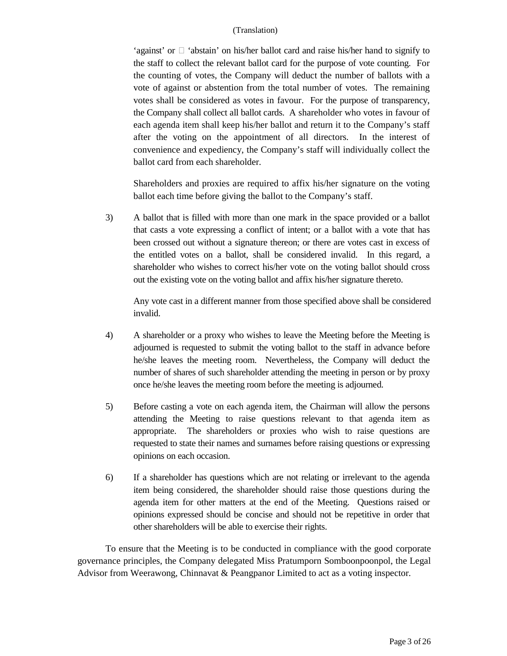'against' or  $\Box$  'abstain' on his/her ballot card and raise his/her hand to signify to the staff to collect the relevant ballot card for the purpose of vote counting. For the counting of votes, the Company will deduct the number of ballots with a vote of against or abstention from the total number of votes. The remaining votes shall be considered as votes in favour. For the purpose of transparency, the Company shall collect all ballot cards. A shareholder who votes in favour of each agenda item shall keep his/her ballot and return it to the Company's staff after the voting on the appointment of all directors. In the interest of convenience and expediency, the Company's staff will individually collect the ballot card from each shareholder.

Shareholders and proxies are required to affix his/her signature on the voting ballot each time before giving the ballot to the Company's staff.

3) A ballot that is filled with more than one mark in the space provided or a ballot that casts a vote expressing a conflict of intent; or a ballot with a vote that has been crossed out without a signature thereon; or there are votes cast in excess of the entitled votes on a ballot, shall be considered invalid. In this regard, a shareholder who wishes to correct his/her vote on the voting ballot should cross out the existing vote on the voting ballot and affix his/her signature thereto.

Any vote cast in a different manner from those specified above shall be considered invalid.

- 4) A shareholder or a proxy who wishes to leave the Meeting before the Meeting is adjourned is requested to submit the voting ballot to the staff in advance before he/she leaves the meeting room. Nevertheless, the Company will deduct the number of shares of such shareholder attending the meeting in person or by proxy once he/she leaves the meeting room before the meeting is adjourned.
- 5) Before casting a vote on each agenda item, the Chairman will allow the persons attending the Meeting to raise questions relevant to that agenda item as appropriate. The shareholders or proxies who wish to raise questions are requested to state their names and surnames before raising questions or expressing opinions on each occasion.
- 6) If a shareholder has questions which are not relating or irrelevant to the agenda item being considered, the shareholder should raise those questions during the agenda item for other matters at the end of the Meeting. Questions raised or opinions expressed should be concise and should not be repetitive in order that other shareholders will be able to exercise their rights.

To ensure that the Meeting is to be conducted in compliance with the good corporate governance principles, the Company delegated Miss Pratumporn Somboonpoonpol, the Legal Advisor from Weerawong, Chinnavat & Peangpanor Limited to act as a voting inspector.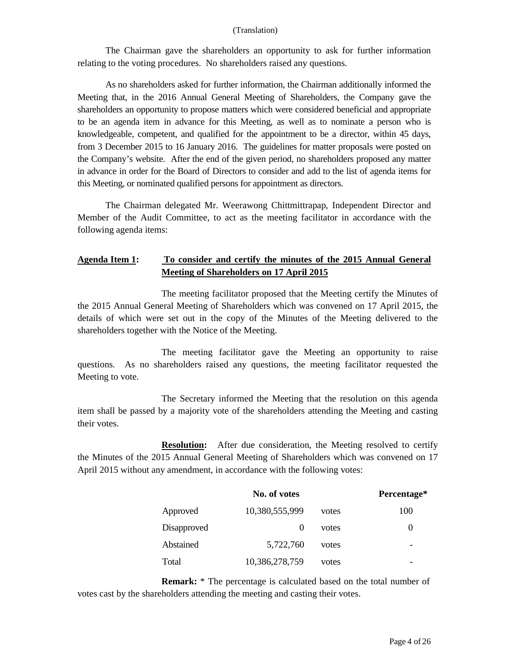The Chairman gave the shareholders an opportunity to ask for further information relating to the voting procedures. No shareholders raised any questions.

As no shareholders asked for further information, the Chairman additionally informed the Meeting that, in the 2016 Annual General Meeting of Shareholders, the Company gave the shareholders an opportunity to propose matters which were considered beneficial and appropriate to be an agenda item in advance for this Meeting, as well as to nominate a person who is knowledgeable, competent, and qualified for the appointment to be a director, within 45 days, from 3 December 2015 to 16 January 2016. The guidelines for matter proposals were posted on the Company's website. After the end of the given period, no shareholders proposed any matter in advance in order for the Board of Directors to consider and add to the list of agenda items for this Meeting, or nominated qualified persons for appointment as directors.

The Chairman delegated Mr. Weerawong Chittmittrapap, Independent Director and Member of the Audit Committee, to act as the meeting facilitator in accordance with the following agenda items:

# **Agenda Item 1: To consider and certify the minutes of the 2015 Annual General Meeting of Shareholders on 17 April 2015**

The meeting facilitator proposed that the Meeting certify the Minutes of the 2015 Annual General Meeting of Shareholders which was convened on 17 April 2015, the details of which were set out in the copy of the Minutes of the Meeting delivered to the shareholders together with the Notice of the Meeting.

The meeting facilitator gave the Meeting an opportunity to raise questions. As no shareholders raised any questions, the meeting facilitator requested the Meeting to vote.

The Secretary informed the Meeting that the resolution on this agenda item shall be passed by a majority vote of the shareholders attending the Meeting and casting their votes.

**Resolution:** After due consideration, the Meeting resolved to certify the Minutes of the 2015 Annual General Meeting of Shareholders which was convened on 17 April 2015 without any amendment, in accordance with the following votes:

|             | No. of votes   |       | Percentage* |
|-------------|----------------|-------|-------------|
| Approved    | 10,380,555,999 | votes | 100         |
| Disapproved |                | votes | $\theta$    |
| Abstained   | 5,722,760      | votes |             |
| Total       | 10,386,278,759 | votes |             |

**Remark:** \* The percentage is calculated based on the total number of votes cast by the shareholders attending the meeting and casting their votes.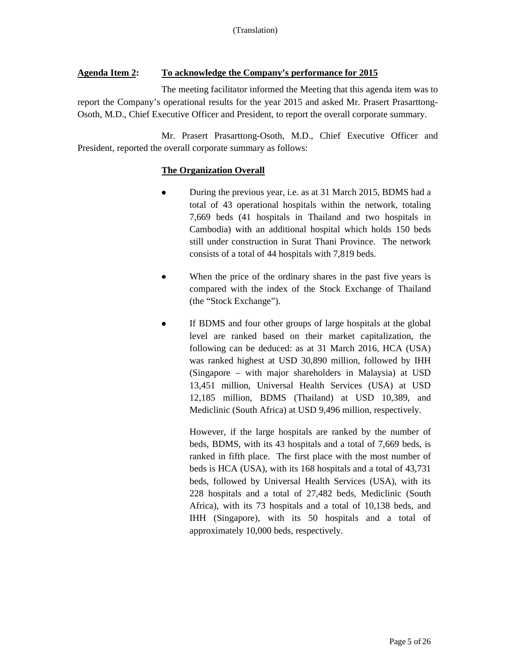## **Agenda Item 2: To acknowledge the Company's performance for 2015**

The meeting facilitator informed the Meeting that this agenda item was to report the Company's operational results for the year 2015 and asked Mr. Prasert Prasarttong-Osoth, M.D., Chief Executive Officer and President, to report the overall corporate summary.

Mr. Prasert Prasarttong-Osoth, M.D., Chief Executive Officer and President, reported the overall corporate summary as follows:

### **The Organization Overall**

- During the previous year, i.e. as at 31 March 2015, BDMS had a total of 43 operational hospitals within the network, totaling 7,669 beds (41 hospitals in Thailand and two hospitals in Cambodia) with an additional hospital which holds 150 beds still under construction in Surat Thani Province. The network consists of a total of 44 hospitals with 7,819 beds.
- When the price of the ordinary shares in the past five years is compared with the index of the Stock Exchange of Thailand (the "Stock Exchange").
- If BDMS and four other groups of large hospitals at the global level are ranked based on their market capitalization, the following can be deduced: as at 31 March 2016, HCA (USA) was ranked highest at USD 30,890 million, followed by IHH (Singapore – with major shareholders in Malaysia) at USD 13,451 million, Universal Health Services (USA) at USD 12,185 million, BDMS (Thailand) at USD 10,389, and Mediclinic (South Africa) at USD 9,496 million, respectively.

However, if the large hospitals are ranked by the number of beds, BDMS, with its 43 hospitals and a total of 7,669 beds, is ranked in fifth place. The first place with the most number of beds is HCA (USA), with its 168 hospitals and a total of 43,731 beds, followed by Universal Health Services (USA), with its 228 hospitals and a total of 27,482 beds, Mediclinic (South Africa), with its 73 hospitals and a total of 10,138 beds, and IHH (Singapore), with its 50 hospitals and a total of approximately 10,000 beds, respectively.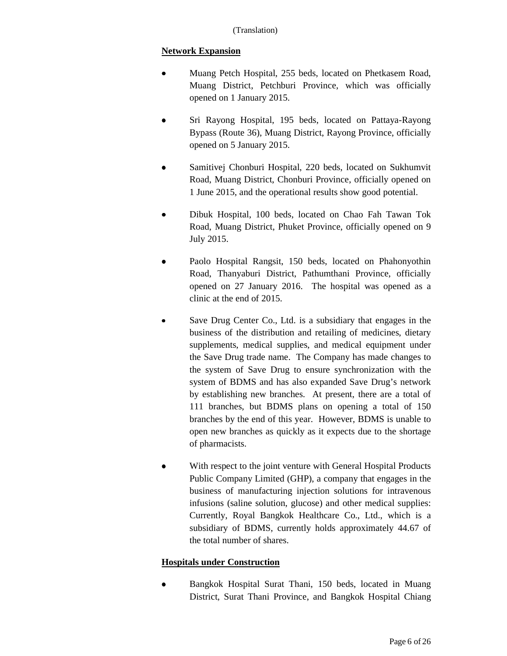# **Network Expansion**

- Muang Petch Hospital, 255 beds, located on Phetkasem Road, Muang District, Petchburi Province, which was officially opened on 1 January 2015.
- Sri Rayong Hospital, 195 beds, located on Pattaya-Rayong Bypass (Route 36), Muang District, Rayong Province, officially opened on 5 January 2015.
- Samitivej Chonburi Hospital, 220 beds, located on Sukhumvit Road, Muang District, Chonburi Province, officially opened on 1 June 2015, and the operational results show good potential.
- Dibuk Hospital, 100 beds, located on Chao Fah Tawan Tok Road, Muang District, Phuket Province, officially opened on 9 July 2015.
- Paolo Hospital Rangsit, 150 beds, located on Phahonyothin Road, Thanyaburi District, Pathumthani Province, officially opened on 27 January 2016. The hospital was opened as a clinic at the end of 2015.
- Save Drug Center Co., Ltd. is a subsidiary that engages in the business of the distribution and retailing of medicines, dietary supplements, medical supplies, and medical equipment under the Save Drug trade name. The Company has made changes to the system of Save Drug to ensure synchronization with the system of BDMS and has also expanded Save Drug's network by establishing new branches. At present, there are a total of 111 branches, but BDMS plans on opening a total of 150 branches by the end of this year. However, BDMS is unable to open new branches as quickly as it expects due to the shortage of pharmacists.
- With respect to the joint venture with General Hospital Products Public Company Limited (GHP), a company that engages in the business of manufacturing injection solutions for intravenous infusions (saline solution, glucose) and other medical supplies: Currently, Royal Bangkok Healthcare Co., Ltd., which is a subsidiary of BDMS, currently holds approximately 44.67 of the total number of shares.

# **Hospitals under Construction**

• Bangkok Hospital Surat Thani, 150 beds, located in Muang District, Surat Thani Province, and Bangkok Hospital Chiang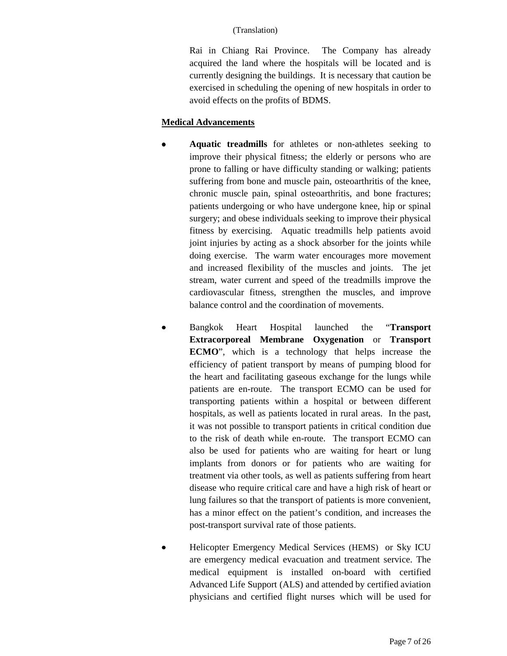Rai in Chiang Rai Province. The Company has already acquired the land where the hospitals will be located and is currently designing the buildings. It is necessary that caution be exercised in scheduling the opening of new hospitals in order to avoid effects on the profits of BDMS.

### **Medical Advancements**

- Aquatic treadmills for athletes or non-athletes seeking to improve their physical fitness; the elderly or persons who are prone to falling or have difficulty standing or walking; patients suffering from bone and muscle pain, osteoarthritis of the knee, chronic muscle pain, spinal osteoarthritis, and bone fractures; patients undergoing or who have undergone knee, hip or spinal surgery; and obese individuals seeking to improve their physical fitness by exercising. Aquatic treadmills help patients avoid joint injuries by acting as a shock absorber for the joints while doing exercise. The warm water encourages more movement and increased flexibility of the muscles and joints. The jet stream, water current and speed of the treadmills improve the cardiovascular fitness, strengthen the muscles, and improve balance control and the coordination of movements.
- Bangkok Heart Hospital launched the "**Transport Extracorporeal Membrane Oxygenation** or **Transport ECMO**", which is a technology that helps increase the efficiency of patient transport by means of pumping blood for the heart and facilitating gaseous exchange for the lungs while patients are en-route. The transport ECMO can be used for transporting patients within a hospital or between different hospitals, as well as patients located in rural areas. In the past, it was not possible to transport patients in critical condition due to the risk of death while en-route. The transport ECMO can also be used for patients who are waiting for heart or lung implants from donors or for patients who are waiting for treatment via other tools, as well as patients suffering from heart disease who require critical care and have a high risk of heart or lung failures so that the transport of patients is more convenient, has a minor effect on the patient's condition, and increases the post-transport survival rate of those patients.
- Helicopter Emergency Medical Services (HEMS) or Sky ICU are emergency medical evacuation and treatment service. The medical equipment is installed on-board with certified Advanced Life Support (ALS) and attended by certified aviation physicians and certified flight nurses which will be used for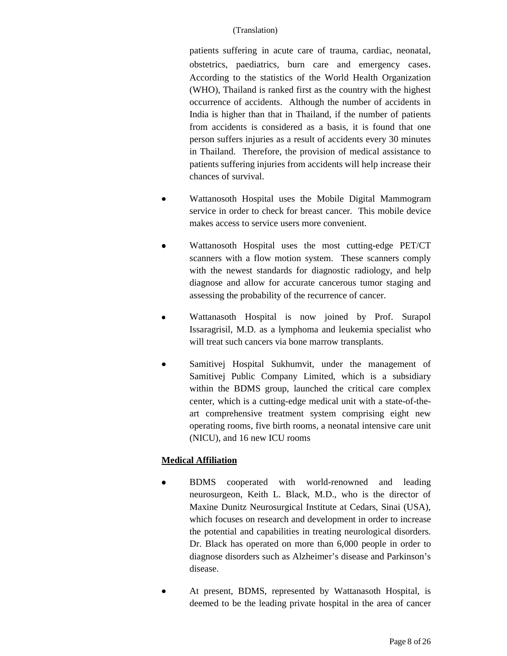patients suffering in acute care of trauma, cardiac, neonatal, obstetrics, paediatrics, burn care and emergency cases. According to the statistics of the World Health Organization (WHO), Thailand is ranked first as the country with the highest occurrence of accidents. Although the number of accidents in India is higher than that in Thailand, if the number of patients from accidents is considered as a basis, it is found that one person suffers injuries as a result of accidents every 30 minutes in Thailand. Therefore, the provision of medical assistance to patients suffering injuries from accidents will help increase their chances of survival.

- Wattanosoth Hospital uses the Mobile Digital Mammogram service in order to check for breast cancer. This mobile device makes access to service users more convenient.
- Wattanosoth Hospital uses the most cutting-edge PET/CT scanners with a flow motion system. These scanners comply with the newest standards for diagnostic radiology, and help diagnose and allow for accurate cancerous tumor staging and assessing the probability of the recurrence of cancer.
- Wattanasoth Hospital is now joined by Prof. Surapol Issaragrisil, M.D. as a lymphoma and leukemia specialist who will treat such cancers via bone marrow transplants.
- Samitivej Hospital Sukhumvit, under the management of Samitivej Public Company Limited, which is a subsidiary within the BDMS group, launched the critical care complex center, which is a cutting-edge medical unit with a state-of-theart comprehensive treatment system comprising eight new operating rooms, five birth rooms, a neonatal intensive care unit (NICU), and 16 new ICU rooms

# **Medical Affiliation**

- BDMS cooperated with world-renowned and leading neurosurgeon, Keith L. Black, M.D., who is the director of Maxine Dunitz Neurosurgical Institute at Cedars, Sinai (USA), which focuses on research and development in order to increase the potential and capabilities in treating neurological disorders. Dr. Black has operated on more than 6,000 people in order to diagnose disorders such as Alzheimer's disease and Parkinson's disease.
- At present, BDMS, represented by Wattanasoth Hospital, is deemed to be the leading private hospital in the area of cancer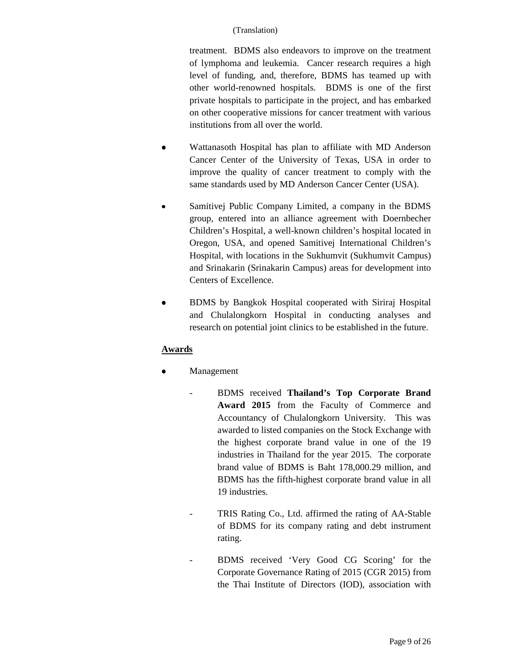treatment. BDMS also endeavors to improve on the treatment of lymphoma and leukemia. Cancer research requires a high level of funding, and, therefore, BDMS has teamed up with other world-renowned hospitals. BDMS is one of the first private hospitals to participate in the project, and has embarked on other cooperative missions for cancer treatment with various institutions from all over the world.

- Wattanasoth Hospital has plan to affiliate with MD Anderson Cancer Center of the University of Texas, USA in order to improve the quality of cancer treatment to comply with the same standards used by MD Anderson Cancer Center (USA).
- Samitivej Public Company Limited, a company in the BDMS group, entered into an alliance agreement with Doernbecher Children's Hospital, a well-known children's hospital located in Oregon, USA, and opened Samitivej International Children's Hospital, with locations in the Sukhumvit (Sukhumvit Campus) and Srinakarin (Srinakarin Campus) areas for development into Centers of Excellence.
- BDMS by Bangkok Hospital cooperated with Siriraj Hospital and Chulalongkorn Hospital in conducting analyses and research on potential joint clinics to be established in the future.

# **Awards**

- **Management** 
	- BDMS received **Thailand's Top Corporate Brand Award 2015** from the Faculty of Commerce and Accountancy of Chulalongkorn University. This was awarded to listed companies on the Stock Exchange with the highest corporate brand value in one of the 19 industries in Thailand for the year 2015. The corporate brand value of BDMS is Baht 178,000.29 million, and BDMS has the fifth-highest corporate brand value in all 19 industries.
		- TRIS Rating Co., Ltd. affirmed the rating of AA-Stable of BDMS for its company rating and debt instrument rating.
			- BDMS received 'Very Good CG Scoring' for the Corporate Governance Rating of 2015 (CGR 2015) from the Thai Institute of Directors (IOD), association with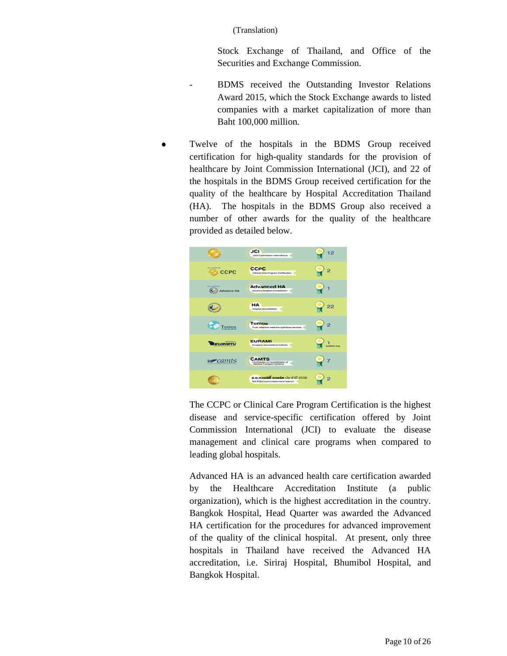Stock Exchange of Thailand, and Office of the Securities and Exchange Commission.

- BDMS received the Outstanding Investor Relations Award 2015, which the Stock Exchange awards to listed companies with a market capitalization of more than Baht 100,000 million.
- Twelve of the hospitals in the BDMS Group received certification for high-quality standards for the provision of healthcare by Joint Commission International (JCI), and 22 of the hospitals in the BDMS Group received certification for the quality of the healthcare by Hospital Accreditation Thailand (HA). The hospitals in the BDMS Group also received a number of other awards for the quality of the healthcare provided as detailed below.



The CCPC or Clinical Care Program Certification is the highest disease and service-specific certification offered by Joint Commission International (JCI) to evaluate the disease management and clinical care programs when compared to leading global hospitals.

Advanced HA is an advanced health care certification awarded by the Healthcare Accreditation Institute (a public organization), which is the highest accreditation in the country. Bangkok Hospital, Head Quarter was awarded the Advanced HA certification for the procedures for advanced improvement of the quality of the clinical hospital. At present, only three hospitals in Thailand have received the Advanced HA accreditation, i.e. Siriraj Hospital, Bhumibol Hospital, and Bangkok Hospital.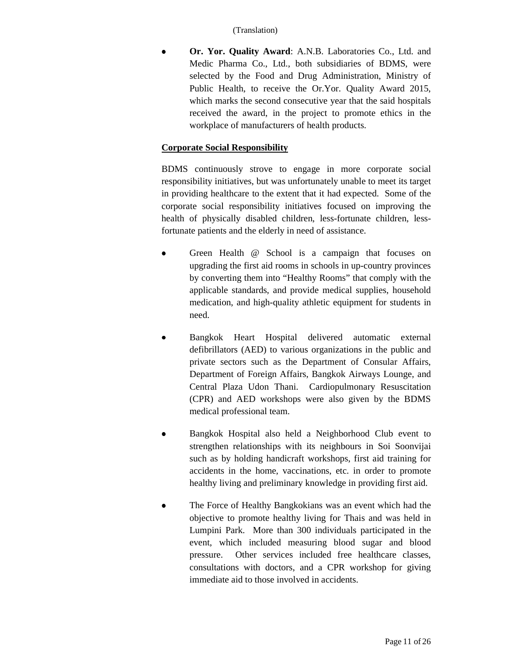• **Or. Yor. Quality Award**: A.N.B. Laboratories Co., Ltd. and Medic Pharma Co., Ltd., both subsidiaries of BDMS, were selected by the Food and Drug Administration, Ministry of Public Health, to receive the Or.Yor. Quality Award 2015, which marks the second consecutive year that the said hospitals received the award, in the project to promote ethics in the workplace of manufacturers of health products.

# **Corporate Social Responsibility**

BDMS continuously strove to engage in more corporate social responsibility initiatives, but was unfortunately unable to meet its target in providing healthcare to the extent that it had expected. Some of the corporate social responsibility initiatives focused on improving the health of physically disabled children, less-fortunate children, lessfortunate patients and the elderly in need of assistance.

- Green Health @ School is a campaign that focuses on upgrading the first aid rooms in schools in up-country provinces by converting them into "Healthy Rooms" that comply with the applicable standards, and provide medical supplies, household medication, and high-quality athletic equipment for students in need.
- Bangkok Heart Hospital delivered automatic external defibrillators (AED) to various organizations in the public and private sectors such as the Department of Consular Affairs, Department of Foreign Affairs, Bangkok Airways Lounge, and Central Plaza Udon Thani. Cardiopulmonary Resuscitation (CPR) and AED workshops were also given by the BDMS medical professional team.
- Bangkok Hospital also held a Neighborhood Club event to strengthen relationships with its neighbours in Soi Soonvijai such as by holding handicraft workshops, first aid training for accidents in the home, vaccinations, etc. in order to promote healthy living and preliminary knowledge in providing first aid.
- The Force of Healthy Bangkokians was an event which had the objective to promote healthy living for Thais and was held in Lumpini Park. More than 300 individuals participated in the event, which included measuring blood sugar and blood pressure. Other services included free healthcare classes, consultations with doctors, and a CPR workshop for giving immediate aid to those involved in accidents.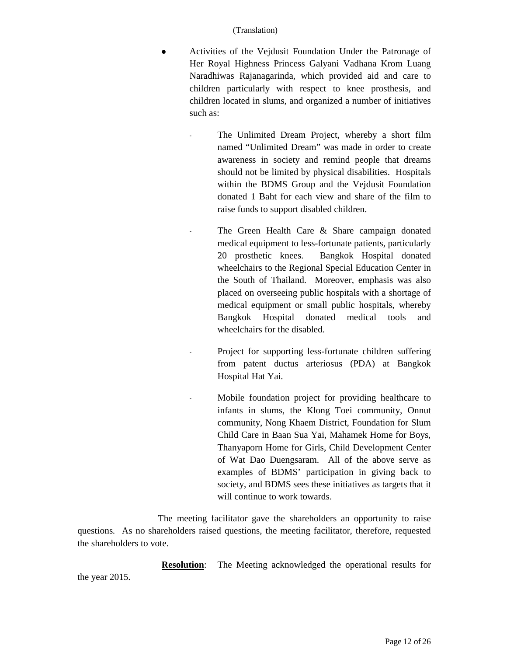- Activities of the Vejdusit Foundation Under the Patronage of Her Royal Highness Princess Galyani Vadhana Krom Luang Naradhiwas Rajanagarinda, which provided aid and care to children particularly with respect to knee prosthesis, and children located in slums, and organized a number of initiatives such as:
	- The Unlimited Dream Project, whereby a short film named "Unlimited Dream" was made in order to create awareness in society and remind people that dreams should not be limited by physical disabilities. Hospitals within the BDMS Group and the Vejdusit Foundation donated 1 Baht for each view and share of the film to raise funds to support disabled children.
	- The Green Health Care & Share campaign donated medical equipment to less-fortunate patients, particularly 20 prosthetic knees. Bangkok Hospital donated wheelchairs to the Regional Special Education Center in the South of Thailand. Moreover, emphasis was also placed on overseeing public hospitals with a shortage of medical equipment or small public hospitals, whereby Bangkok Hospital donated medical tools and wheelchairs for the disabled.
	- Project for supporting less-fortunate children suffering from patent ductus arteriosus (PDA) at Bangkok Hospital Hat Yai.
		- Mobile foundation project for providing healthcare to infants in slums, the Klong Toei community, Onnut community, Nong Khaem District, Foundation for Slum Child Care in Baan Sua Yai, Mahamek Home for Boys, Thanyaporn Home for Girls, Child Development Center of Wat Dao Duengsaram. All of the above serve as examples of BDMS' participation in giving back to society, and BDMS sees these initiatives as targets that it will continue to work towards.

The meeting facilitator gave the shareholders an opportunity to raise questions. As no shareholders raised questions, the meeting facilitator, therefore, requested the shareholders to vote.

**Resolution**: The Meeting acknowledged the operational results for

the year 2015.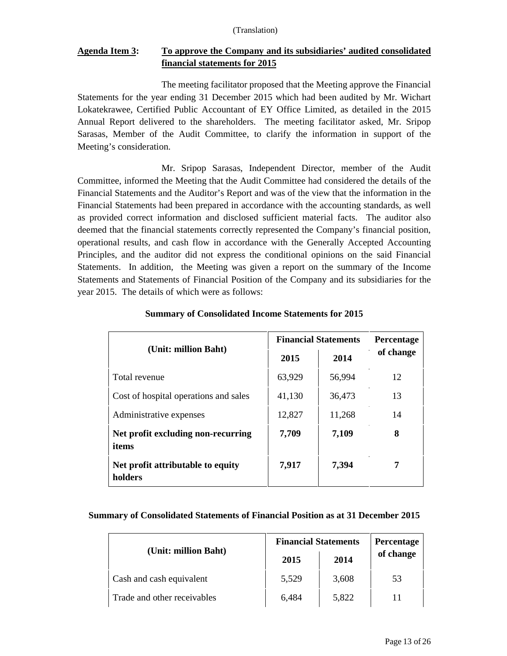# **Agenda Item 3: To approve the Company and its subsidiaries' audited consolidated financial statements for 2015**

The meeting facilitator proposed that the Meeting approve the Financial Statements for the year ending 31 December 2015 which had been audited by Mr. Wichart Lokatekrawee, Certified Public Accountant of EY Office Limited, as detailed in the 2015 Annual Report delivered to the shareholders. The meeting facilitator asked, Mr. Sripop Sarasas, Member of the Audit Committee, to clarify the information in support of the Meeting's consideration.

Mr. Sripop Sarasas, Independent Director, member of the Audit Committee, informed the Meeting that the Audit Committee had considered the details of the Financial Statements and the Auditor's Report and was of the view that the information in the Financial Statements had been prepared in accordance with the accounting standards, as well as provided correct information and disclosed sufficient material facts. The auditor also deemed that the financial statements correctly represented the Company's financial position, operational results, and cash flow in accordance with the Generally Accepted Accounting Principles, and the auditor did not express the conditional opinions on the said Financial Statements. In addition, the Meeting was given a report on the summary of the Income Statements and Statements of Financial Position of the Company and its subsidiaries for the year 2015. The details of which were as follows:

|                                              |        | <b>Financial Statements</b> |           |  |
|----------------------------------------------|--------|-----------------------------|-----------|--|
| (Unit: million Baht)                         | 2015   | 2014                        | of change |  |
| Total revenue                                | 63,929 | 56,994                      | 12        |  |
| Cost of hospital operations and sales        | 41,130 | 36,473                      | 13        |  |
| Administrative expenses                      | 12,827 | 11,268                      | 14        |  |
| Net profit excluding non-recurring<br>items  | 7,709  | 7,109                       | 8         |  |
| Net profit attributable to equity<br>holders | 7,917  | 7,394                       |           |  |

### **Summary of Consolidated Income Statements for 2015**

### **Summary of Consolidated Statements of Financial Position as at 31 December 2015**

|                             | <b>Financial Statements</b> | <b>Percentage</b> |           |
|-----------------------------|-----------------------------|-------------------|-----------|
| (Unit: million Baht)        | 2015                        | 2014              | of change |
| Cash and cash equivalent    | 5,529                       | 3,608             | 53        |
| Trade and other receivables | 6,484                       | 5,822             |           |

 $\overline{1}$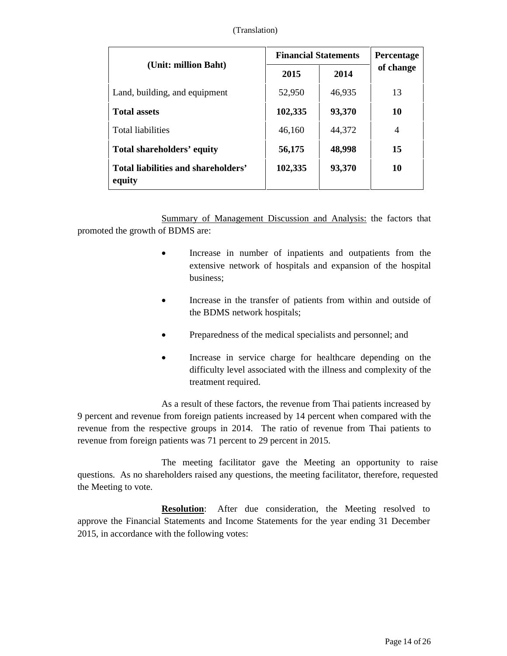|                                               | <b>Financial Statements</b> | <b>Percentage</b> |                |
|-----------------------------------------------|-----------------------------|-------------------|----------------|
| (Unit: million Baht)                          | 2015                        | 2014              | of change      |
| Land, building, and equipment                 | 52,950                      | 46,935            | 13             |
| <b>Total assets</b>                           | 102,335                     | 93,370            | 10             |
| <b>Total liabilities</b>                      | 46,160                      | 44,372            | $\overline{4}$ |
| Total shareholders' equity                    | 56,175                      | 48,998            | 15             |
| Total liabilities and shareholders'<br>equity | 102,335                     | 93,370            | 10             |

Summary of Management Discussion and Analysis: the factors that promoted the growth of BDMS are:

- Increase in number of inpatients and outpatients from the extensive network of hospitals and expansion of the hospital business;
- Increase in the transfer of patients from within and outside of the BDMS network hospitals;
- Preparedness of the medical specialists and personnel; and
- Increase in service charge for healthcare depending on the difficulty level associated with the illness and complexity of the treatment required.

As a result of these factors, the revenue from Thai patients increased by 9 percent and revenue from foreign patients increased by 14 percent when compared with the revenue from the respective groups in 2014. The ratio of revenue from Thai patients to revenue from foreign patients was 71 percent to 29 percent in 2015.

The meeting facilitator gave the Meeting an opportunity to raise questions. As no shareholders raised any questions, the meeting facilitator, therefore, requested the Meeting to vote.

**Resolution:** After due consideration, the Meeting resolved to approve the Financial Statements and Income Statements for the year ending 31 December 2015, in accordance with the following votes: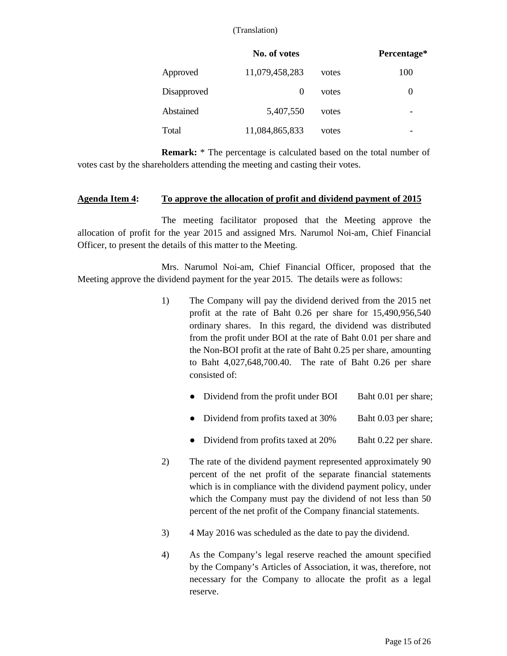|             | No. of votes   |       | Percentage* |
|-------------|----------------|-------|-------------|
| Approved    | 11,079,458,283 | votes | 100         |
| Disapproved | $\theta$       | votes | 0           |
| Abstained   | 5,407,550      | votes | -           |
| Total       | 11,084,865,833 | votes | -           |

**Remark:** \* The percentage is calculated based on the total number of votes cast by the shareholders attending the meeting and casting their votes.

#### **Agenda Item 4: To approve the allocation of profit and dividend payment of 2015**

The meeting facilitator proposed that the Meeting approve the allocation of profit for the year 2015 and assigned Mrs. Narumol Noi-am, Chief Financial Officer, to present the details of this matter to the Meeting.

Mrs. Narumol Noi-am, Chief Financial Officer, proposed that the Meeting approve the dividend payment for the year 2015. The details were as follows:

- 1) The Company will pay the dividend derived from the 2015 net profit at the rate of Baht 0.26 per share for 15,490,956,540 ordinary shares. In this regard, the dividend was distributed from the profit under BOI at the rate of Baht 0.01 per share and the Non-BOI profit at the rate of Baht 0.25 per share, amounting to Baht 4,027,648,700.40. The rate of Baht 0.26 per share consisted of:
	- Dividend from the profit under BOI Baht 0.01 per share;
	- Dividend from profits taxed at 30% Baht 0.03 per share;
	- Dividend from profits taxed at 20% Baht 0.22 per share.
- 2) The rate of the dividend payment represented approximately 90 percent of the net profit of the separate financial statements which is in compliance with the dividend payment policy, under which the Company must pay the dividend of not less than 50 percent of the net profit of the Company financial statements.
- 3) 4 May 2016 was scheduled as the date to pay the dividend.
- 4) As the Company's legal reserve reached the amount specified by the Company's Articles of Association, it was, therefore, not necessary for the Company to allocate the profit as a legal reserve.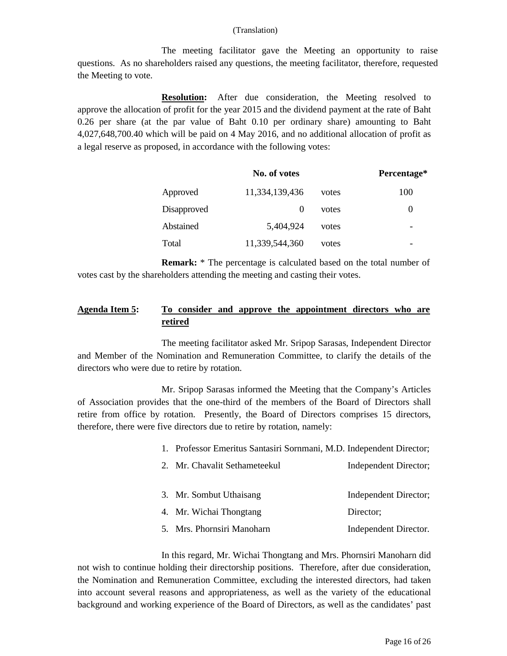The meeting facilitator gave the Meeting an opportunity to raise questions. As no shareholders raised any questions, the meeting facilitator, therefore, requested the Meeting to vote.

**Resolution:** After due consideration, the Meeting resolved to approve the allocation of profit for the year 2015 and the dividend payment at the rate of Baht 0.26 per share (at the par value of Baht 0.10 per ordinary share) amounting to Baht 4,027,648,700.40 which will be paid on 4 May 2016, and no additional allocation of profit as a legal reserve as proposed, in accordance with the following votes:

|             | No. of votes   |       | Percentage* |
|-------------|----------------|-------|-------------|
| Approved    | 11,334,139,436 | votes | 100         |
| Disapproved | $\theta$       | votes | $\theta$    |
| Abstained   | 5,404,924      | votes |             |
| Total       | 11,339,544,360 | votes | -           |

**Remark:** \* The percentage is calculated based on the total number of votes cast by the shareholders attending the meeting and casting their votes.

# **Agenda Item 5: To consider and approve the appointment directors who are retired**

The meeting facilitator asked Mr. Sripop Sarasas, Independent Director and Member of the Nomination and Remuneration Committee, to clarify the details of the directors who were due to retire by rotation.

Mr. Sripop Sarasas informed the Meeting that the Company's Articles of Association provides that the one-third of the members of the Board of Directors shall retire from office by rotation. Presently, the Board of Directors comprises 15 directors, therefore, there were five directors due to retire by rotation, namely:

- 1. Professor Emeritus Santasiri Sornmani, M.D. Independent Director;
- 2. Mr. Chavalit Sethameteekul Independent Director; 3. Mr. Sombut Uthaisang Independent Director; 4. Mr. Wichai Thongtang Director; 5. Mrs. Phornsiri Manoharn Independent Director.

In this regard, Mr. Wichai Thongtang and Mrs. Phornsiri Manoharn did not wish to continue holding their directorship positions. Therefore, after due consideration, the Nomination and Remuneration Committee, excluding the interested directors, had taken into account several reasons and appropriateness, as well as the variety of the educational background and working experience of the Board of Directors, as well as the candidates' past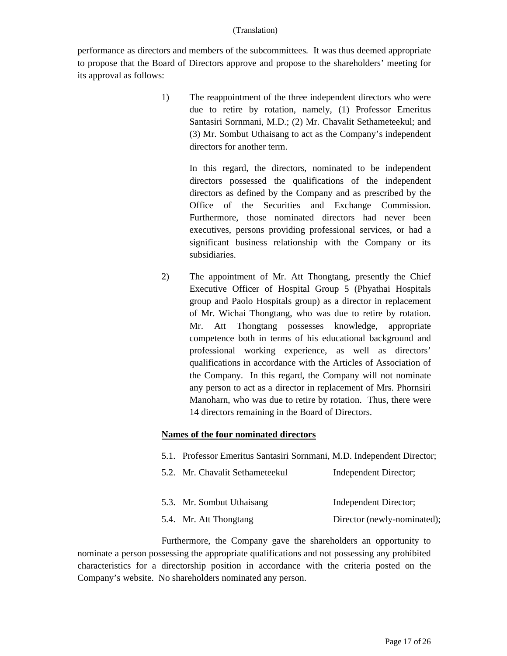performance as directors and members of the subcommittees. It was thus deemed appropriate to propose that the Board of Directors approve and propose to the shareholders' meeting for its approval as follows:

> 1) The reappointment of the three independent directors who were due to retire by rotation, namely, (1) Professor Emeritus Santasiri Sornmani, M.D.; (2) Mr. Chavalit Sethameteekul; and (3) Mr. Sombut Uthaisang to act as the Company's independent directors for another term.

> > In this regard, the directors, nominated to be independent directors possessed the qualifications of the independent directors as defined by the Company and as prescribed by the Office of the Securities and Exchange Commission. Furthermore, those nominated directors had never been executives, persons providing professional services, or had a significant business relationship with the Company or its subsidiaries.

2) The appointment of Mr. Att Thongtang, presently the Chief Executive Officer of Hospital Group 5 (Phyathai Hospitals group and Paolo Hospitals group) as a director in replacement of Mr. Wichai Thongtang, who was due to retire by rotation. Mr. Att Thongtang possesses knowledge, appropriate competence both in terms of his educational background and professional working experience, as well as directors' qualifications in accordance with the Articles of Association of the Company. In this regard, the Company will not nominate any person to act as a director in replacement of Mrs. Phornsiri Manoharn, who was due to retire by rotation. Thus, there were 14 directors remaining in the Board of Directors.

### **Names of the four nominated directors**

- 5.1. Professor Emeritus Santasiri Sornmani, M.D. Independent Director;
- 5.2. Mr. Chavalit Sethameteekul Independent Director; 5.3. Mr. Sombut Uthaisang Independent Director;
- 5.4. Mr. Att Thongtang Director (newly-nominated);

Furthermore, the Company gave the shareholders an opportunity to nominate a person possessing the appropriate qualifications and not possessing any prohibited characteristics for a directorship position in accordance with the criteria posted on the Company's website. No shareholders nominated any person.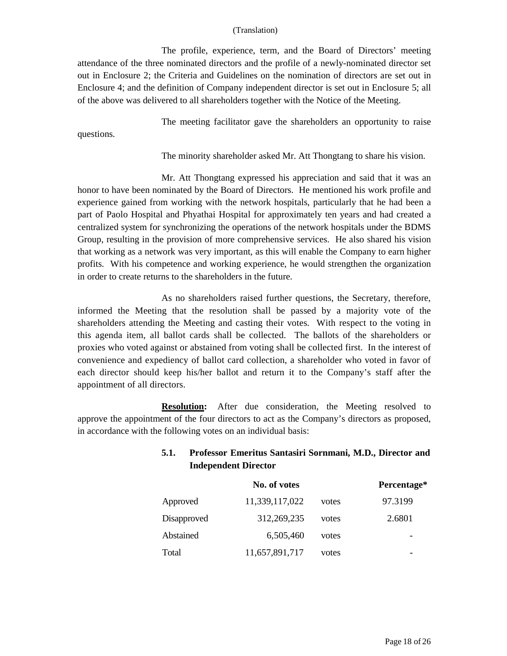The profile, experience, term, and the Board of Directors' meeting attendance of the three nominated directors and the profile of a newly-nominated director set out in Enclosure 2; the Criteria and Guidelines on the nomination of directors are set out in Enclosure 4; and the definition of Company independent director is set out in Enclosure 5; all of the above was delivered to all shareholders together with the Notice of the Meeting.

questions.

The meeting facilitator gave the shareholders an opportunity to raise

The minority shareholder asked Mr. Att Thongtang to share his vision.

Mr. Att Thongtang expressed his appreciation and said that it was an honor to have been nominated by the Board of Directors. He mentioned his work profile and experience gained from working with the network hospitals, particularly that he had been a part of Paolo Hospital and Phyathai Hospital for approximately ten years and had created a centralized system for synchronizing the operations of the network hospitals under the BDMS Group, resulting in the provision of more comprehensive services. He also shared his vision that working as a network was very important, as this will enable the Company to earn higher profits. With his competence and working experience, he would strengthen the organization in order to create returns to the shareholders in the future.

As no shareholders raised further questions, the Secretary, therefore, informed the Meeting that the resolution shall be passed by a majority vote of the shareholders attending the Meeting and casting their votes. With respect to the voting in this agenda item, all ballot cards shall be collected. The ballots of the shareholders or proxies who voted against or abstained from voting shall be collected first. In the interest of convenience and expediency of ballot card collection, a shareholder who voted in favor of each director should keep his/her ballot and return it to the Company's staff after the appointment of all directors.

**Resolution:** After due consideration, the Meeting resolved to approve the appointment of the four directors to act as the Company's directors as proposed, in accordance with the following votes on an individual basis:

# **5.1. Professor Emeritus Santasiri Sornmani, M.D., Director and Independent Director**

|             | No. of votes   |       | Percentage* |
|-------------|----------------|-------|-------------|
| Approved    | 11,339,117,022 | votes | 97.3199     |
| Disapproved | 312,269,235    | votes | 2.6801      |
| Abstained   | 6,505,460      | votes |             |
| Total       | 11,657,891,717 | votes |             |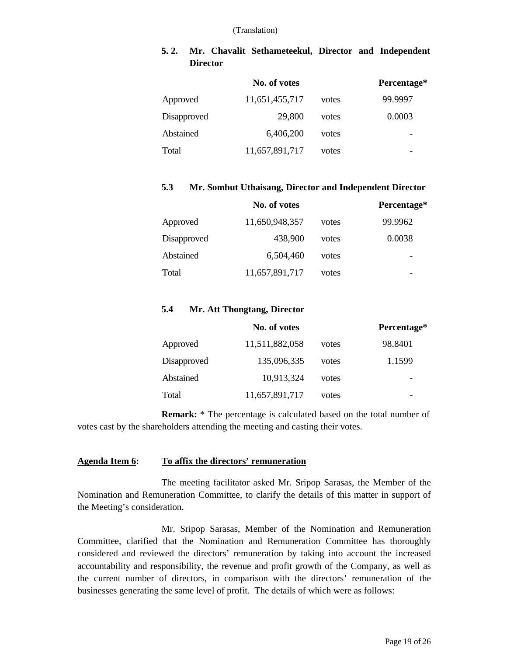# **5. 2. Mr. Chavalit Sethameteekul, Director and Independent Director**

|             | No. of votes   |       | Percentage* |
|-------------|----------------|-------|-------------|
| Approved    | 11,651,455,717 | votes | 99.9997     |
| Disapproved | 29,800         | votes | 0.0003      |
| Abstained   | 6,406,200      | votes |             |
| Total       | 11,657,891,717 | votes |             |

#### **5.3 Mr. Sombut Uthaisang, Director and Independent Director**

|             | No. of votes   |       | Percentage* |
|-------------|----------------|-------|-------------|
| Approved    | 11,650,948,357 | votes | 99.9962     |
| Disapproved | 438,900        | votes | 0.0038      |
| Abstained   | 6,504,460      | votes |             |
| Total       | 11,657,891,717 | votes |             |

### **5.4 Mr. Att Thongtang, Director**

|             | No. of votes   |       | Percentage* |
|-------------|----------------|-------|-------------|
| Approved    | 11,511,882,058 | votes | 98.8401     |
| Disapproved | 135,096,335    | votes | 1.1599      |
| Abstained   | 10,913,324     | votes |             |
| Total       | 11,657,891,717 | votes |             |

**Remark:** \* The percentage is calculated based on the total number of votes cast by the shareholders attending the meeting and casting their votes.

### **Agenda Item 6: To affix the directors' remuneration**

The meeting facilitator asked Mr. Sripop Sarasas, the Member of the Nomination and Remuneration Committee, to clarify the details of this matter in support of the Meeting's consideration.

Mr. Sripop Sarasas, Member of the Nomination and Remuneration Committee, clarified that the Nomination and Remuneration Committee has thoroughly considered and reviewed the directors' remuneration by taking into account the increased accountability and responsibility, the revenue and profit growth of the Company, as well as the current number of directors, in comparison with the directors' remuneration of the businesses generating the same level of profit. The details of which were as follows: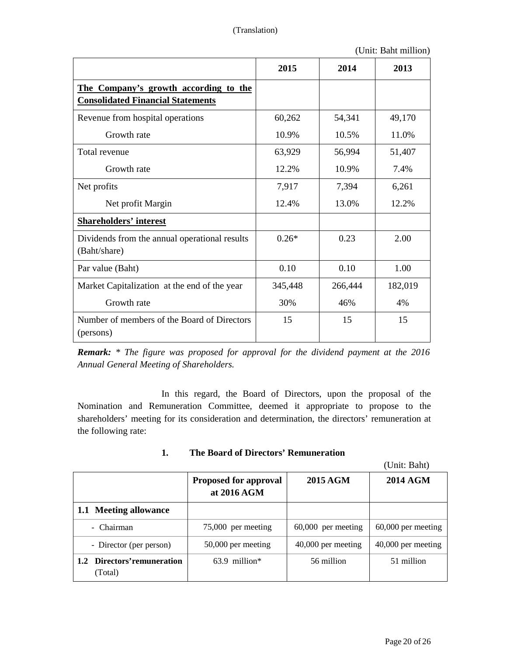(Unit: Baht million)

|                                                                                   | 2015    | 2014    | 2013    |
|-----------------------------------------------------------------------------------|---------|---------|---------|
| The Company's growth according to the<br><b>Consolidated Financial Statements</b> |         |         |         |
| Revenue from hospital operations                                                  | 60,262  | 54,341  | 49,170  |
| Growth rate                                                                       | 10.9%   | 10.5%   | 11.0%   |
| Total revenue                                                                     | 63,929  | 56,994  | 51,407  |
| Growth rate                                                                       | 12.2%   | 10.9%   | 7.4%    |
| Net profits                                                                       | 7,917   | 7,394   | 6,261   |
| Net profit Margin                                                                 | 12.4%   | 13.0%   | 12.2%   |
| <b>Shareholders' interest</b>                                                     |         |         |         |
| Dividends from the annual operational results<br>(Baht/share)                     | $0.26*$ | 0.23    | 2.00    |
| Par value (Baht)                                                                  | 0.10    | 0.10    | 1.00    |
| Market Capitalization at the end of the year                                      | 345,448 | 266,444 | 182,019 |
| Growth rate                                                                       | 30%     | 46%     | 4%      |
| Number of members of the Board of Directors<br>(persons)                          | 15      | 15      | 15      |

*Remark: \* The figure was proposed for approval for the dividend payment at the 2016 Annual General Meeting of Shareholders.* 

In this regard, the Board of Directors, upon the proposal of the Nomination and Remuneration Committee, deemed it appropriate to propose to the shareholders' meeting for its consideration and determination, the directors' remuneration at the following rate:

| 1. | The Board of Directors' Remuneration |  |
|----|--------------------------------------|--|
|----|--------------------------------------|--|

(Unit: Baht)

|                                        | <b>Proposed for approval</b><br>at 2016 AGM | 2015 AGM             | <b>2014 AGM</b>    |
|----------------------------------------|---------------------------------------------|----------------------|--------------------|
| 1.1 Meeting allowance                  |                                             |                      |                    |
| - Chairman                             | 75,000 per meeting                          | $60,000$ per meeting | 60,000 per meeting |
| - Director (per person)                | 50,000 per meeting                          | $40,000$ per meeting | 40,000 per meeting |
| 1.2 Directors' remuneration<br>(Total) | $63.9$ million*                             | 56 million           | 51 million         |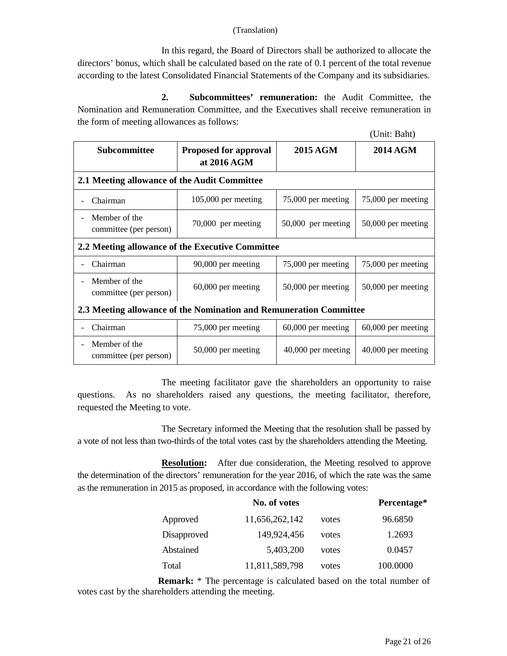In this regard, the Board of Directors shall be authorized to allocate the directors' bonus, which shall be calculated based on the rate of 0.1 percent of the total revenue according to the latest Consolidated Financial Statements of the Company and its subsidiaries.

**2. Subcommittees' remuneration:** the Audit Committee, the Nomination and Remuneration Committee, and the Executives shall receive remuneration in the form of meeting allowances as follows:

| (Unit: Baht) |  |
|--------------|--|
|--------------|--|

| <b>Subcommittee</b>                                                | <b>Proposed for approval</b><br>at 2016 AGM | 2015 AGM             | <b>2014 AGM</b>      |
|--------------------------------------------------------------------|---------------------------------------------|----------------------|----------------------|
| 2.1 Meeting allowance of the Audit Committee                       |                                             |                      |                      |
| Chairman                                                           | $105,000$ per meeting                       | 75,000 per meeting   | 75,000 per meeting   |
| Member of the<br>committee (per person)                            | 70,000 per meeting                          | 50,000 per meeting   | 50,000 per meeting   |
| 2.2 Meeting allowance of the Executive Committee                   |                                             |                      |                      |
| Chairman                                                           | 90,000 per meeting                          | 75,000 per meeting   | 75,000 per meeting   |
| Member of the<br>committee (per person)                            | $60,000$ per meeting                        | $50,000$ per meeting | 50,000 per meeting   |
| 2.3 Meeting allowance of the Nomination and Remuneration Committee |                                             |                      |                      |
| Chairman                                                           | 75,000 per meeting                          | $60,000$ per meeting | $60,000$ per meeting |
| Member of the<br>committee (per person)                            | 50,000 per meeting                          | $40,000$ per meeting | 40,000 per meeting   |

The meeting facilitator gave the shareholders an opportunity to raise questions. As no shareholders raised any questions, the meeting facilitator, therefore, requested the Meeting to vote.

The Secretary informed the Meeting that the resolution shall be passed by a vote of not less than two-thirds of the total votes cast by the shareholders attending the Meeting.

**Resolution:** After due consideration, the Meeting resolved to approve the determination of the directors' remuneration for the year 2016, of which the rate was the same as the remuneration in 2015 as proposed, in accordance with the following votes:

|             | No. of votes   |       | Percentage* |
|-------------|----------------|-------|-------------|
| Approved    | 11,656,262,142 | votes | 96.6850     |
| Disapproved | 149,924,456    | votes | 1.2693      |
| Abstained   | 5,403,200      | votes | 0.0457      |
| Total       | 11,811,589,798 | votes | 100.0000    |

**Remark:** \* The percentage is calculated based on the total number of votes cast by the shareholders attending the meeting.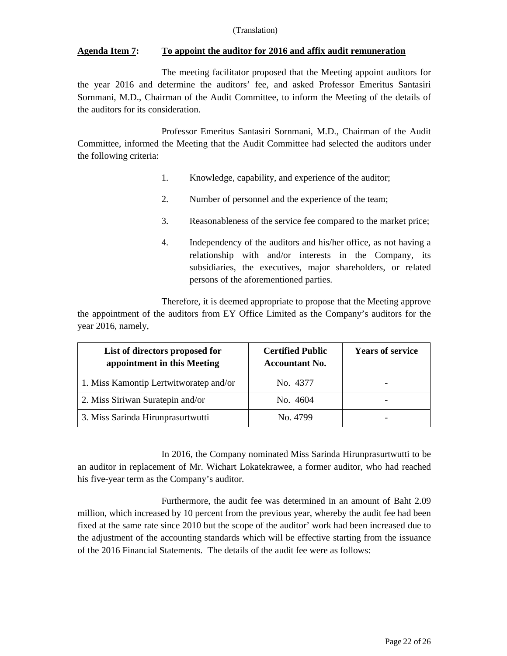## **Agenda Item 7: To appoint the auditor for 2016 and affix audit remuneration**

The meeting facilitator proposed that the Meeting appoint auditors for the year 2016 and determine the auditors' fee, and asked Professor Emeritus Santasiri Sornmani, M.D., Chairman of the Audit Committee, to inform the Meeting of the details of the auditors for its consideration.

Professor Emeritus Santasiri Sornmani, M.D., Chairman of the Audit Committee, informed the Meeting that the Audit Committee had selected the auditors under the following criteria:

- 1. Knowledge, capability, and experience of the auditor;
- 2. Number of personnel and the experience of the team;
- 3. Reasonableness of the service fee compared to the market price;
- 4. Independency of the auditors and his/her office, as not having a relationship with and/or interests in the Company, its subsidiaries, the executives, major shareholders, or related persons of the aforementioned parties.

Therefore, it is deemed appropriate to propose that the Meeting approve the appointment of the auditors from EY Office Limited as the Company's auditors for the year 2016, namely,

| List of directors proposed for<br>appointment in this Meeting | <b>Certified Public</b><br><b>Accountant No.</b> | <b>Years of service</b> |
|---------------------------------------------------------------|--------------------------------------------------|-------------------------|
| 1. Miss Kamontip Lertwitworatep and/or                        | No. 4377                                         |                         |
| 2. Miss Siriwan Suratepin and/or                              | No. 4604                                         |                         |
| 3. Miss Sarinda Hirunprasurtwutti                             | No. 4799                                         |                         |

In 2016, the Company nominated Miss Sarinda Hirunprasurtwutti to be an auditor in replacement of Mr. Wichart Lokatekrawee, a former auditor, who had reached his five-year term as the Company's auditor.

Furthermore, the audit fee was determined in an amount of Baht 2.09 million, which increased by 10 percent from the previous year, whereby the audit fee had been fixed at the same rate since 2010 but the scope of the auditor' work had been increased due to the adjustment of the accounting standards which will be effective starting from the issuance of the 2016 Financial Statements. The details of the audit fee were as follows: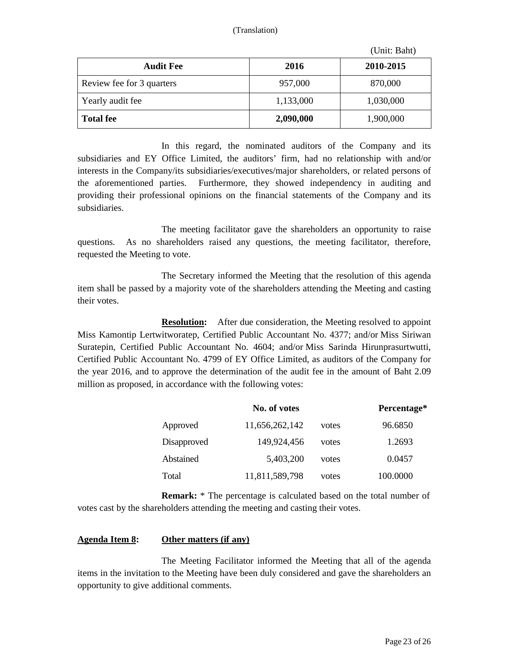| (Unit: Baht) |  |
|--------------|--|
|--------------|--|

|                           |           | $\cup$ Int. Dant |
|---------------------------|-----------|------------------|
| <b>Audit Fee</b>          | 2016      | 2010-2015        |
| Review fee for 3 quarters | 957,000   | 870,000          |
| Yearly audit fee          | 1,133,000 | 1,030,000        |
| <b>Total fee</b>          | 2,090,000 | 1,900,000        |

In this regard, the nominated auditors of the Company and its subsidiaries and EY Office Limited, the auditors' firm, had no relationship with and/or interests in the Company/its subsidiaries/executives/major shareholders, or related persons of the aforementioned parties. Furthermore, they showed independency in auditing and providing their professional opinions on the financial statements of the Company and its subsidiaries.

The meeting facilitator gave the shareholders an opportunity to raise questions. As no shareholders raised any questions, the meeting facilitator, therefore, requested the Meeting to vote.

The Secretary informed the Meeting that the resolution of this agenda item shall be passed by a majority vote of the shareholders attending the Meeting and casting their votes.

**Resolution:** After due consideration, the Meeting resolved to appoint Miss Kamontip Lertwitworatep, Certified Public Accountant No. 4377; and/or Miss Siriwan Suratepin, Certified Public Accountant No. 4604; and/or Miss Sarinda Hirunprasurtwutti, Certified Public Accountant No. 4799 of EY Office Limited, as auditors of the Company for the year 2016, and to approve the determination of the audit fee in the amount of Baht 2.09 million as proposed, in accordance with the following votes:

|             | No. of votes   |       | Percentage* |
|-------------|----------------|-------|-------------|
| Approved    | 11,656,262,142 | votes | 96.6850     |
| Disapproved | 149,924,456    | votes | 1.2693      |
| Abstained   | 5,403,200      | votes | 0.0457      |
| Total       | 11,811,589,798 | votes | 100.0000    |

**Remark:** \* The percentage is calculated based on the total number of votes cast by the shareholders attending the meeting and casting their votes.

### **Agenda Item 8: Other matters (if any)**

The Meeting Facilitator informed the Meeting that all of the agenda items in the invitation to the Meeting have been duly considered and gave the shareholders an opportunity to give additional comments.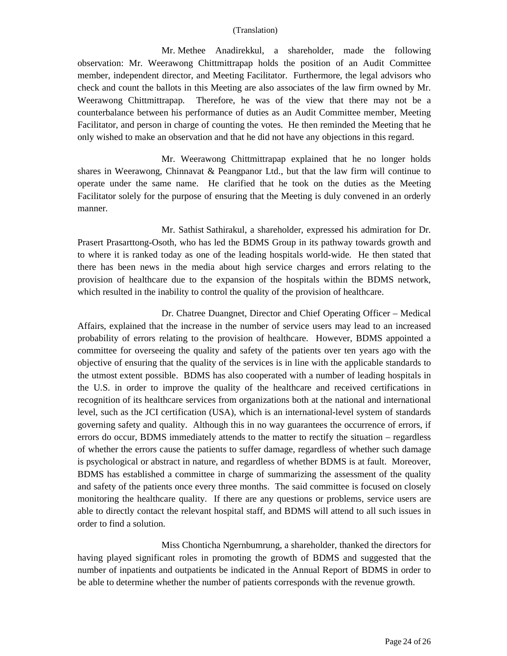Mr. Methee Anadirekkul, a shareholder, made the following observation: Mr. Weerawong Chittmittrapap holds the position of an Audit Committee member, independent director, and Meeting Facilitator. Furthermore, the legal advisors who check and count the ballots in this Meeting are also associates of the law firm owned by Mr. Weerawong Chittmittrapap. Therefore, he was of the view that there may not be a counterbalance between his performance of duties as an Audit Committee member, Meeting Facilitator, and person in charge of counting the votes. He then reminded the Meeting that he only wished to make an observation and that he did not have any objections in this regard.

Mr. Weerawong Chittmittrapap explained that he no longer holds shares in Weerawong, Chinnavat & Peangpanor Ltd., but that the law firm will continue to operate under the same name. He clarified that he took on the duties as the Meeting Facilitator solely for the purpose of ensuring that the Meeting is duly convened in an orderly manner.

Mr. Sathist Sathirakul, a shareholder, expressed his admiration for Dr. Prasert Prasarttong-Osoth, who has led the BDMS Group in its pathway towards growth and to where it is ranked today as one of the leading hospitals world-wide. He then stated that there has been news in the media about high service charges and errors relating to the provision of healthcare due to the expansion of the hospitals within the BDMS network, which resulted in the inability to control the quality of the provision of healthcare.

Dr. Chatree Duangnet, Director and Chief Operating Officer – Medical Affairs, explained that the increase in the number of service users may lead to an increased probability of errors relating to the provision of healthcare. However, BDMS appointed a committee for overseeing the quality and safety of the patients over ten years ago with the objective of ensuring that the quality of the services is in line with the applicable standards to the utmost extent possible. BDMS has also cooperated with a number of leading hospitals in the U.S. in order to improve the quality of the healthcare and received certifications in recognition of its healthcare services from organizations both at the national and international level, such as the JCI certification (USA), which is an international-level system of standards governing safety and quality. Although this in no way guarantees the occurrence of errors, if errors do occur, BDMS immediately attends to the matter to rectify the situation – regardless of whether the errors cause the patients to suffer damage, regardless of whether such damage is psychological or abstract in nature, and regardless of whether BDMS is at fault. Moreover, BDMS has established a committee in charge of summarizing the assessment of the quality and safety of the patients once every three months. The said committee is focused on closely monitoring the healthcare quality. If there are any questions or problems, service users are able to directly contact the relevant hospital staff, and BDMS will attend to all such issues in order to find a solution.

Miss Chonticha Ngernbumrung, a shareholder, thanked the directors for having played significant roles in promoting the growth of BDMS and suggested that the number of inpatients and outpatients be indicated in the Annual Report of BDMS in order to be able to determine whether the number of patients corresponds with the revenue growth.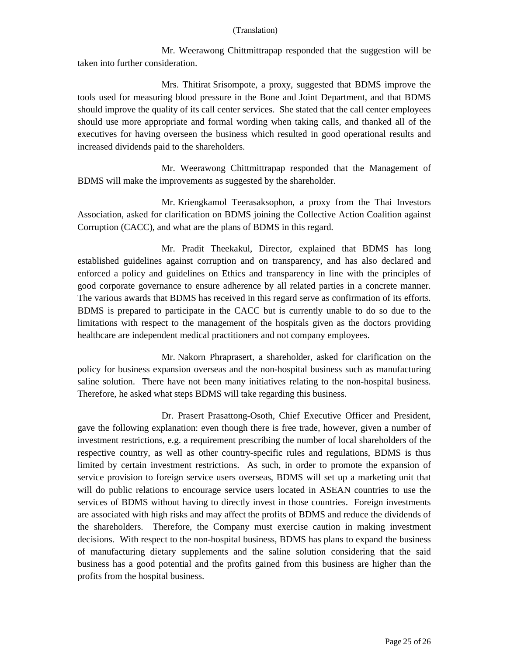Mr. Weerawong Chittmittrapap responded that the suggestion will be taken into further consideration.

Mrs. Thitirat Srisompote, a proxy, suggested that BDMS improve the tools used for measuring blood pressure in the Bone and Joint Department, and that BDMS should improve the quality of its call center services. She stated that the call center employees should use more appropriate and formal wording when taking calls, and thanked all of the executives for having overseen the business which resulted in good operational results and increased dividends paid to the shareholders.

Mr. Weerawong Chittmittrapap responded that the Management of BDMS will make the improvements as suggested by the shareholder.

Mr. Kriengkamol Teerasaksophon, a proxy from the Thai Investors Association, asked for clarification on BDMS joining the Collective Action Coalition against Corruption (CACC), and what are the plans of BDMS in this regard.

Mr. Pradit Theekakul, Director, explained that BDMS has long established guidelines against corruption and on transparency, and has also declared and enforced a policy and guidelines on Ethics and transparency in line with the principles of good corporate governance to ensure adherence by all related parties in a concrete manner. The various awards that BDMS has received in this regard serve as confirmation of its efforts. BDMS is prepared to participate in the CACC but is currently unable to do so due to the limitations with respect to the management of the hospitals given as the doctors providing healthcare are independent medical practitioners and not company employees.

Mr. Nakorn Phraprasert, a shareholder, asked for clarification on the policy for business expansion overseas and the non-hospital business such as manufacturing saline solution. There have not been many initiatives relating to the non-hospital business. Therefore, he asked what steps BDMS will take regarding this business.

Dr. Prasert Prasattong-Osoth, Chief Executive Officer and President, gave the following explanation: even though there is free trade, however, given a number of investment restrictions, e.g. a requirement prescribing the number of local shareholders of the respective country, as well as other country-specific rules and regulations, BDMS is thus limited by certain investment restrictions. As such, in order to promote the expansion of service provision to foreign service users overseas, BDMS will set up a marketing unit that will do public relations to encourage service users located in ASEAN countries to use the services of BDMS without having to directly invest in those countries. Foreign investments are associated with high risks and may affect the profits of BDMS and reduce the dividends of the shareholders. Therefore, the Company must exercise caution in making investment decisions. With respect to the non-hospital business, BDMS has plans to expand the business of manufacturing dietary supplements and the saline solution considering that the said business has a good potential and the profits gained from this business are higher than the profits from the hospital business.